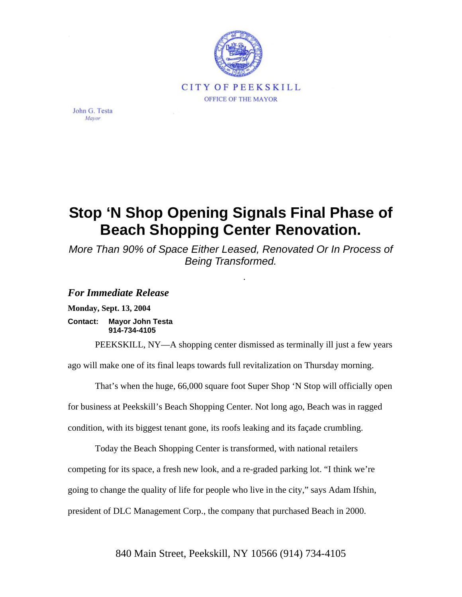

John G. Testa Mayor

## **Stop 'N Shop Opening Signals Final Phase of Beach Shopping Center Renovation.**

*More Than 90% of Space Either Leased, Renovated Or In Process of Being Transformed.*

.

## *For Immediate Release*

**Monday, Sept. 13, 2004** 

**Contact: Mayor John Testa 914-734-4105** 

PEEKSKILL, NY—A shopping center dismissed as terminally ill just a few years ago will make one of its final leaps towards full revitalization on Thursday morning.

That's when the huge, 66,000 square foot Super Shop 'N Stop will officially open for business at Peekskill's Beach Shopping Center. Not long ago, Beach was in ragged condition, with its biggest tenant gone, its roofs leaking and its façade crumbling.

Today the Beach Shopping Center is transformed, with national retailers competing for its space, a fresh new look, and a re-graded parking lot. "I think we're going to change the quality of life for people who live in the city," says Adam Ifshin, president of DLC Management Corp., the company that purchased Beach in 2000.

840 Main Street, Peekskill, NY 10566 (914) 734-4105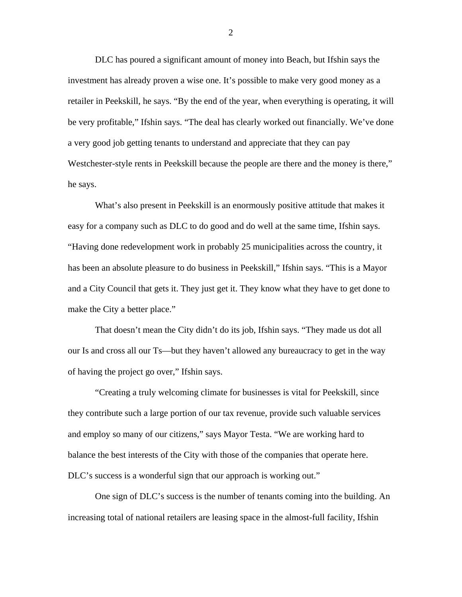DLC has poured a significant amount of money into Beach, but Ifshin says the investment has already proven a wise one. It's possible to make very good money as a retailer in Peekskill, he says. "By the end of the year, when everything is operating, it will be very profitable," Ifshin says. "The deal has clearly worked out financially. We've done a very good job getting tenants to understand and appreciate that they can pay Westchester-style rents in Peekskill because the people are there and the money is there," he says.

What's also present in Peekskill is an enormously positive attitude that makes it easy for a company such as DLC to do good and do well at the same time, Ifshin says. "Having done redevelopment work in probably 25 municipalities across the country, it has been an absolute pleasure to do business in Peekskill," Ifshin says. "This is a Mayor and a City Council that gets it. They just get it. They know what they have to get done to make the City a better place."

That doesn't mean the City didn't do its job, Ifshin says. "They made us dot all our Is and cross all our Ts—but they haven't allowed any bureaucracy to get in the way of having the project go over," Ifshin says.

"Creating a truly welcoming climate for businesses is vital for Peekskill, since they contribute such a large portion of our tax revenue, provide such valuable services and employ so many of our citizens," says Mayor Testa. "We are working hard to balance the best interests of the City with those of the companies that operate here. DLC's success is a wonderful sign that our approach is working out."

One sign of DLC's success is the number of tenants coming into the building. An increasing total of national retailers are leasing space in the almost-full facility, Ifshin

2